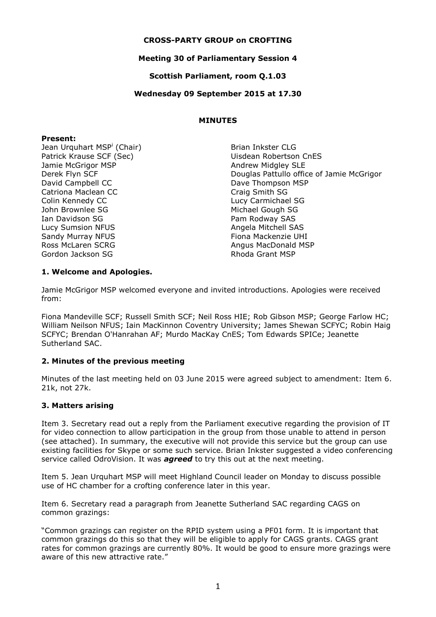## **CROSS-PARTY GROUP on CROFTING**

## **Meeting 30 of Parliamentary Session 4**

**Scottish Parliament, room Q.1.03**

### **Wednesday 09 September 2015 at 17.30**

### **MINUTES**

#### **Present:**

Jean Urquhart MSP<sup>i</sup> (Chair) Patrick Krause SCF (Sec) Jamie McGrigor MSP Derek Flyn SCF David Campbell CC Catriona Maclean CC Colin Kennedy CC John Brownlee SG Ian Davidson SG Lucy Sumsion NFUS Sandy Murray NFUS Ross McLaren SCRG Gordon Jackson SG

Brian Inkster CLG Uisdean Robertson CnES Andrew Midgley SLE Douglas Pattullo office of Jamie McGrigor Dave Thompson MSP Craig Smith SG Lucy Carmichael SG Michael Gough SG Pam Rodway SAS Angela Mitchell SAS Fiona Mackenzie UHI Angus MacDonald MSP Rhoda Grant MSP

## **1. Welcome and Apologies.**

Jamie McGrigor MSP welcomed everyone and invited introductions. Apologies were received from:

Fiona Mandeville SCF; Russell Smith SCF; Neil Ross HIE; Rob Gibson MSP; George Farlow HC; William Neilson NFUS; Iain MacKinnon Coventry University; James Shewan SCFYC; Robin Haig SCFYC; Brendan O'Hanrahan AF; Murdo MacKay CnES; Tom Edwards SPICe; Jeanette Sutherland SAC.

### **2. Minutes of the previous meeting**

Minutes of the last meeting held on 03 June 2015 were agreed subject to amendment: Item 6. 21k, not 27k.

## **3. Matters arising**

Item 3. Secretary read out a reply from the Parliament executive regarding the provision of IT for video connection to allow participation in the group from those unable to attend in person (see attached). In summary, the executive will not provide this service but the group can use existing facilities for Skype or some such service. Brian Inkster suggested a video conferencing service called OdroVision. It was *agreed* to try this out at the next meeting.

Item 5. Jean Urquhart MSP will meet Highland Council leader on Monday to discuss possible use of HC chamber for a crofting conference later in this year.

Item 6. Secretary read a paragraph from Jeanette Sutherland SAC regarding CAGS on common grazings:

"Common grazings can register on the RPID system using a PF01 form. It is important that common grazings do this so that they will be eligible to apply for CAGS grants. CAGS grant rates for common grazings are currently 80%. It would be good to ensure more grazings were aware of this new attractive rate."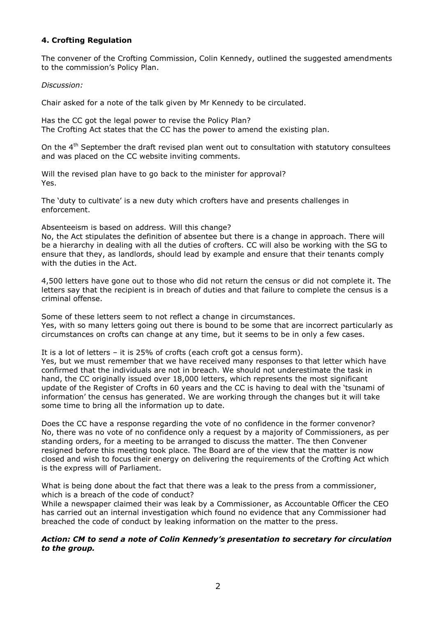# **4. Crofting Regulation**

The convener of the Crofting Commission, Colin Kennedy, outlined the suggested amendments to the commission's Policy Plan.

### *Discussion:*

Chair asked for a note of the talk given by Mr Kennedy to be circulated.

Has the CC got the legal power to revise the Policy Plan? The Crofting Act states that the CC has the power to amend the existing plan.

On the 4<sup>th</sup> September the draft revised plan went out to consultation with statutory consultees and was placed on the CC website inviting comments.

Will the revised plan have to go back to the minister for approval? Yes.

The 'duty to cultivate' is a new duty which crofters have and presents challenges in enforcement.

Absenteeism is based on address. Will this change?

No, the Act stipulates the definition of absentee but there is a change in approach. There will be a hierarchy in dealing with all the duties of crofters. CC will also be working with the SG to ensure that they, as landlords, should lead by example and ensure that their tenants comply with the duties in the Act.

4,500 letters have gone out to those who did not return the census or did not complete it. The letters say that the recipient is in breach of duties and that failure to complete the census is a criminal offense.

Some of these letters seem to not reflect a change in circumstances. Yes, with so many letters going out there is bound to be some that are incorrect particularly as circumstances on crofts can change at any time, but it seems to be in only a few cases.

It is a lot of letters – it is 25% of crofts (each croft got a census form). Yes, but we must remember that we have received many responses to that letter which have confirmed that the individuals are not in breach. We should not underestimate the task in hand, the CC originally issued over 18,000 letters, which represents the most significant update of the Register of Crofts in 60 years and the CC is having to deal with the 'tsunami of information' the census has generated. We are working through the changes but it will take some time to bring all the information up to date.

Does the CC have a response regarding the vote of no confidence in the former convenor? No, there was no vote of no confidence only a request by a majority of Commissioners, as per standing orders, for a meeting to be arranged to discuss the matter. The then Convener resigned before this meeting took place. The Board are of the view that the matter is now closed and wish to focus their energy on delivering the requirements of the Crofting Act which is the express will of Parliament.

What is being done about the fact that there was a leak to the press from a commissioner. which is a breach of the code of conduct?

While a newspaper claimed their was leak by a Commissioner, as Accountable Officer the CEO has carried out an internal investigation which found no evidence that any Commissioner had breached the code of conduct by leaking information on the matter to the press.

## *Action: CM to send a note of Colin Kennedy's presentation to secretary for circulation to the group.*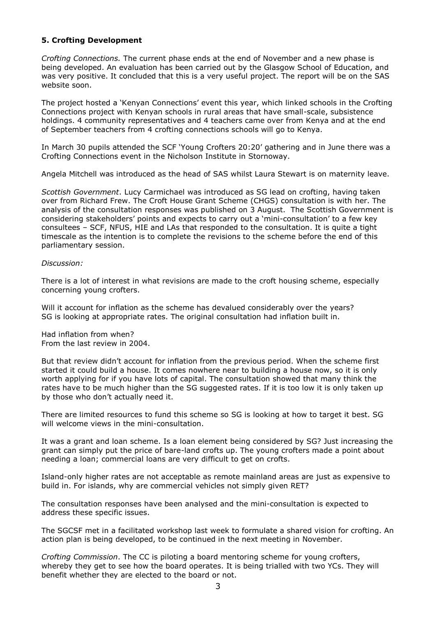## **5. Crofting Development**

*Crofting Connections.* The current phase ends at the end of November and a new phase is being developed. An evaluation has been carried out by the Glasgow School of Education, and was very positive. It concluded that this is a very useful project. The report will be on the SAS website soon.

The project hosted a 'Kenyan Connections' event this year, which linked schools in the Crofting Connections project with Kenyan schools in rural areas that have small-scale, subsistence holdings. 4 community representatives and 4 teachers came over from Kenya and at the end of September teachers from 4 crofting connections schools will go to Kenya.

In March 30 pupils attended the SCF 'Young Crofters 20:20' gathering and in June there was a Crofting Connections event in the Nicholson Institute in Stornoway.

Angela Mitchell was introduced as the head of SAS whilst Laura Stewart is on maternity leave.

*Scottish Government*. Lucy Carmichael was introduced as SG lead on crofting, having taken over from Richard Frew. The Croft House Grant Scheme (CHGS) consultation is with her. The analysis of the consultation responses was published on 3 August. The Scottish Government is considering stakeholders' points and expects to carry out a 'mini-consultation' to a few key consultees – SCF, NFUS, HIE and LAs that responded to the consultation. It is quite a tight timescale as the intention is to complete the revisions to the scheme before the end of this parliamentary session.

#### *Discussion:*

There is a lot of interest in what revisions are made to the croft housing scheme, especially concerning young crofters.

Will it account for inflation as the scheme has devalued considerably over the years? SG is looking at appropriate rates. The original consultation had inflation built in.

Had inflation from when? From the last review in 2004.

But that review didn't account for inflation from the previous period. When the scheme first started it could build a house. It comes nowhere near to building a house now, so it is only worth applying for if you have lots of capital. The consultation showed that many think the rates have to be much higher than the SG suggested rates. If it is too low it is only taken up by those who don't actually need it.

There are limited resources to fund this scheme so SG is looking at how to target it best. SG will welcome views in the mini-consultation.

It was a grant and loan scheme. Is a loan element being considered by SG? Just increasing the grant can simply put the price of bare-land crofts up. The young crofters made a point about needing a loan; commercial loans are very difficult to get on crofts.

Island-only higher rates are not acceptable as remote mainland areas are just as expensive to build in. For islands, why are commercial vehicles not simply given RET?

The consultation responses have been analysed and the mini-consultation is expected to address these specific issues.

The SGCSF met in a facilitated workshop last week to formulate a shared vision for crofting. An action plan is being developed, to be continued in the next meeting in November.

*Crofting Commission*. The CC is piloting a board mentoring scheme for young crofters, whereby they get to see how the board operates. It is being trialled with two YCs. They will benefit whether they are elected to the board or not.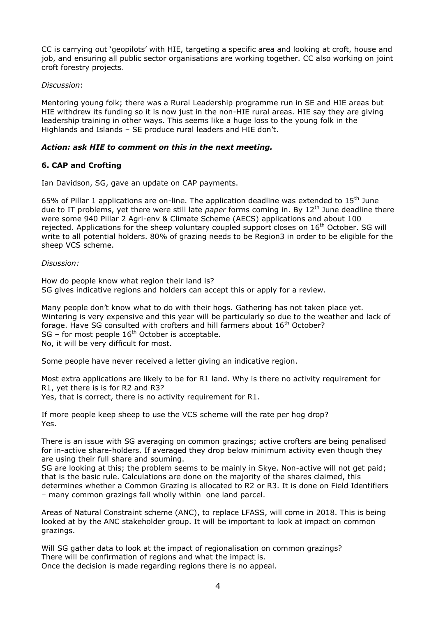CC is carrying out 'geopilots' with HIE, targeting a specific area and looking at croft, house and job, and ensuring all public sector organisations are working together. CC also working on joint croft forestry projects.

### *Discussion*:

Mentoring young folk; there was a Rural Leadership programme run in SE and HIE areas but HIE withdrew its funding so it is now just in the non-HIE rural areas. HIE say they are giving leadership training in other ways. This seems like a huge loss to the young folk in the Highlands and Islands – SE produce rural leaders and HIE don't.

## *Action: ask HIE to comment on this in the next meeting.*

## **6. CAP and Crofting**

Ian Davidson, SG, gave an update on CAP payments.

65% of Pillar 1 applications are on-line. The application deadline was extended to  $15<sup>th</sup>$  June due to IT problems, yet there were still late *paper* forms coming in. By 12<sup>th</sup> June deadline there were some 940 Pillar 2 Agri-env & Climate Scheme (AECS) applications and about 100 rejected. Applications for the sheep voluntary coupled support closes on 16<sup>th</sup> October. SG will write to all potential holders. 80% of grazing needs to be Region3 in order to be eligible for the sheep VCS scheme.

### *Disussion:*

How do people know what region their land is? SG gives indicative regions and holders can accept this or apply for a review.

Many people don't know what to do with their hogs. Gathering has not taken place yet. Wintering is very expensive and this year will be particularly so due to the weather and lack of forage. Have SG consulted with crofters and hill farmers about 16<sup>th</sup> October? SG – for most people  $16<sup>th</sup>$  October is acceptable. No, it will be very difficult for most.

Some people have never received a letter giving an indicative region.

Most extra applications are likely to be for R1 land. Why is there no activity requirement for R1, yet there is is for R2 and R3? Yes, that is correct, there is no activity requirement for R1.

If more people keep sheep to use the VCS scheme will the rate per hog drop? Yes.

There is an issue with SG averaging on common grazings; active crofters are being penalised for in-active share-holders. If averaged they drop below minimum activity even though they are using their full share and souming.

SG are looking at this; the problem seems to be mainly in Skye. Non-active will not get paid; that is the basic rule. Calculations are done on the majority of the shares claimed, this determines whether a Common Grazing is allocated to R2 or R3. It is done on Field Identifiers – many common grazings fall wholly within one land parcel.

Areas of Natural Constraint scheme (ANC), to replace LFASS, will come in 2018. This is being looked at by the ANC stakeholder group. It will be important to look at impact on common grazings.

Will SG gather data to look at the impact of regionalisation on common grazings? There will be confirmation of regions and what the impact is. Once the decision is made regarding regions there is no appeal.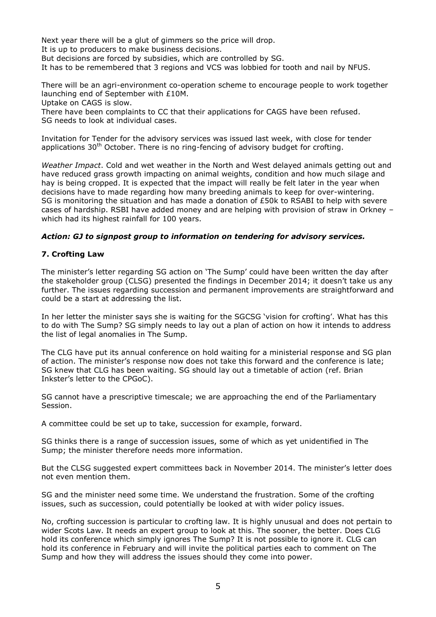Next year there will be a glut of gimmers so the price will drop. It is up to producers to make business decisions.

But decisions are forced by subsidies, which are controlled by SG.

It has to be remembered that 3 regions and VCS was lobbied for tooth and nail by NFUS.

There will be an agri-environment co-operation scheme to encourage people to work together launching end of September with £10M.

Uptake on CAGS is slow.

There have been complaints to CC that their applications for CAGS have been refused. SG needs to look at individual cases.

Invitation for Tender for the advisory services was issued last week, with close for tender applications  $30<sup>th</sup>$  October. There is no ring-fencing of advisory budget for crofting.

*Weather Impact*. Cold and wet weather in the North and West delayed animals getting out and have reduced grass growth impacting on animal weights, condition and how much silage and hay is being cropped. It is expected that the impact will really be felt later in the year when decisions have to made regarding how many breeding animals to keep for over-wintering. SG is monitoring the situation and has made a donation of £50k to RSABI to help with severe cases of hardship. RSBI have added money and are helping with provision of straw in Orkney – which had its highest rainfall for 100 years.

### *Action: GJ to signpost group to information on tendering for advisory services.*

### **7. Crofting Law**

The minister's letter regarding SG action on 'The Sump' could have been written the day after the stakeholder group (CLSG) presented the findings in December 2014; it doesn't take us any further. The issues regarding succession and permanent improvements are straightforward and could be a start at addressing the list.

In her letter the minister says she is waiting for the SGCSG 'vision for crofting'. What has this to do with The Sump? SG simply needs to lay out a plan of action on how it intends to address the list of legal anomalies in The Sump.

The CLG have put its annual conference on hold waiting for a ministerial response and SG plan of action. The minister's response now does not take this forward and the conference is late; SG knew that CLG has been waiting. SG should lay out a timetable of action (ref. Brian Inkster's letter to the CPGoC).

SG cannot have a prescriptive timescale; we are approaching the end of the Parliamentary Session.

A committee could be set up to take, succession for example, forward.

SG thinks there is a range of succession issues, some of which as yet unidentified in The Sump; the minister therefore needs more information.

But the CLSG suggested expert committees back in November 2014. The minister's letter does not even mention them.

SG and the minister need some time. We understand the frustration. Some of the crofting issues, such as succession, could potentially be looked at with wider policy issues.

No, crofting succession is particular to crofting law. It is highly unusual and does not pertain to wider Scots Law. It needs an expert group to look at this. The sooner, the better. Does CLG hold its conference which simply ignores The Sump? It is not possible to ignore it. CLG can hold its conference in February and will invite the political parties each to comment on The Sump and how they will address the issues should they come into power.